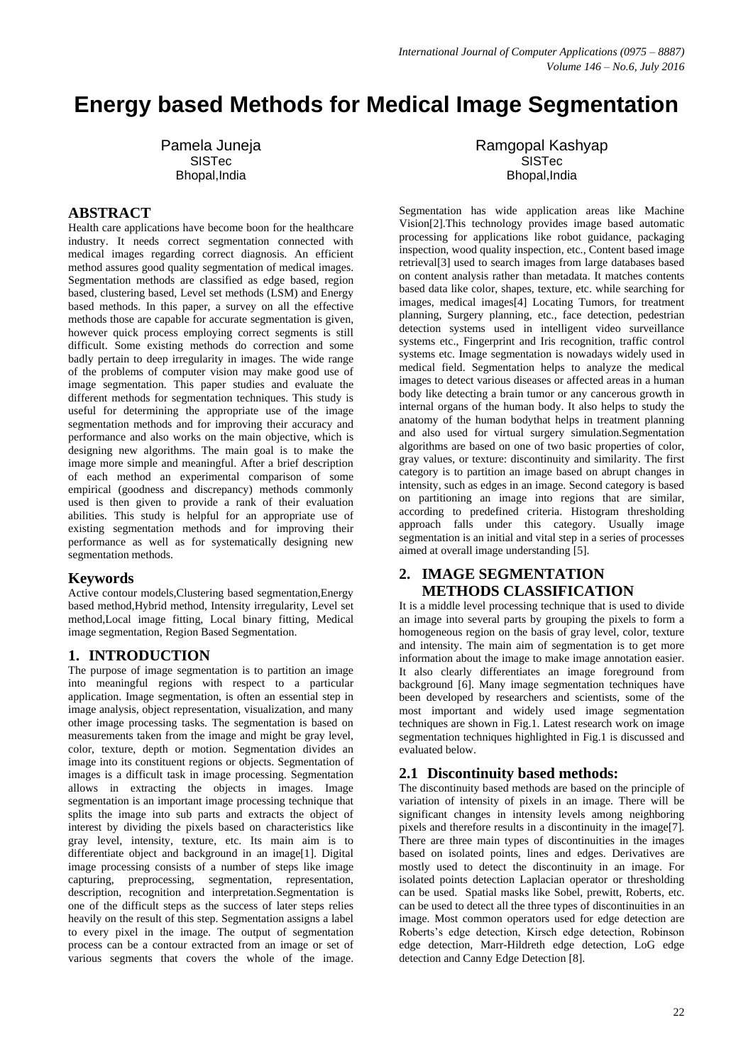# **Energy based Methods for Medical Image Segmentation**

Pamela Juneja SISTec Bhopal,India

## **ABSTRACT**

Health care applications have become boon for the healthcare industry. It needs correct segmentation connected with medical images regarding correct diagnosis. An efficient method assures good quality segmentation of medical images. Segmentation methods are classified as edge based, region based, clustering based, Level set methods (LSM) and Energy based methods. In this paper, a survey on all the effective methods those are capable for accurate segmentation is given, however quick process employing correct segments is still difficult. Some existing methods do correction and some badly pertain to deep irregularity in images. The wide range of the problems of computer vision may make good use of image segmentation. This paper studies and evaluate the different methods for segmentation techniques. This study is useful for determining the appropriate use of the image segmentation methods and for improving their accuracy and performance and also works on the main objective, which is designing new algorithms. The main goal is to make the image more simple and meaningful. After a brief description of each method an experimental comparison of some empirical (goodness and discrepancy) methods commonly used is then given to provide a rank of their evaluation abilities. This study is helpful for an appropriate use of existing segmentation methods and for improving their performance as well as for systematically designing new segmentation methods.

#### **Keywords**

Active contour models,Clustering based segmentation,Energy based method,Hybrid method, Intensity irregularity, Level set method,Local image fitting, Local binary fitting, Medical image segmentation, Region Based Segmentation.

### **1. INTRODUCTION**

The purpose of image segmentation is to partition an image into meaningful regions with respect to a particular application. Image segmentation, is often an essential step in image analysis, object representation, visualization, and many other image processing tasks. The segmentation is based on measurements taken from the image and might be gray level, color, texture, depth or motion. Segmentation divides an image into its constituent regions or objects. Segmentation of images is a difficult task in image processing. Segmentation allows in extracting the objects in images. Image segmentation is an important image processing technique that splits the image into sub parts and extracts the object of interest by dividing the pixels based on characteristics like gray level, intensity, texture, etc. Its main aim is to differentiate object and background in an image[1]. Digital image processing consists of a number of steps like image capturing, preprocessing, segmentation, representation, description, recognition and interpretation.Segmentation is one of the difficult steps as the success of later steps relies heavily on the result of this step. Segmentation assigns a label to every pixel in the image. The output of segmentation process can be a contour extracted from an image or set of various segments that covers the whole of the image.

Ramgopal Kashyap **SISTec** Bhopal,India

Segmentation has wide application areas like Machine Vision[2].This technology provides image based automatic processing for applications like robot guidance, packaging inspection, wood quality inspection, etc., Content based image retrieval[3] used to search images from large databases based on content analysis rather than metadata. It matches contents based data like color, shapes, texture, etc. while searching for images, medical images[4] Locating Tumors, for treatment planning, Surgery planning, etc., face detection, pedestrian detection systems used in intelligent video surveillance systems etc., Fingerprint and Iris recognition, traffic control systems etc. Image segmentation is nowadays widely used in medical field. Segmentation helps to analyze the medical images to detect various diseases or affected areas in a human body like detecting a brain tumor or any cancerous growth in internal organs of the human body. It also helps to study the anatomy of the human bodythat helps in treatment planning and also used for virtual surgery simulation.Segmentation algorithms are based on one of two basic properties of color, gray values, or texture: discontinuity and similarity. The first category is to partition an image based on abrupt changes in intensity, such as edges in an image. Second category is based on partitioning an image into regions that are similar, according to predefined criteria. Histogram thresholding approach falls under this category. Usually image segmentation is an initial and vital step in a series of processes aimed at overall image understanding [5].

# **2. IMAGE SEGMENTATION METHODS CLASSIFICATION**

It is a middle level processing technique that is used to divide an image into several parts by grouping the pixels to form a homogeneous region on the basis of gray level, color, texture and intensity. The main aim of segmentation is to get more information about the image to make image annotation easier. It also clearly differentiates an image foreground from background [6]. Many image segmentation techniques have been developed by researchers and scientists, some of the most important and widely used image segmentation techniques are shown in Fig.1. Latest research work on image segmentation techniques highlighted in Fig.1 is discussed and evaluated below.

#### **2.1 Discontinuity based methods:**

The discontinuity based methods are based on the principle of variation of intensity of pixels in an image. There will be significant changes in intensity levels among neighboring pixels and therefore results in a discontinuity in the image[7]. There are three main types of discontinuities in the images based on isolated points, lines and edges. Derivatives are mostly used to detect the discontinuity in an image. For isolated points detection Laplacian operator or thresholding can be used. Spatial masks like Sobel, prewitt, Roberts, etc. can be used to detect all the three types of discontinuities in an image. Most common operators used for edge detection are Roberts's edge detection, Kirsch edge detection, Robinson edge detection, Marr-Hildreth edge detection, LoG edge detection and Canny Edge Detection [8].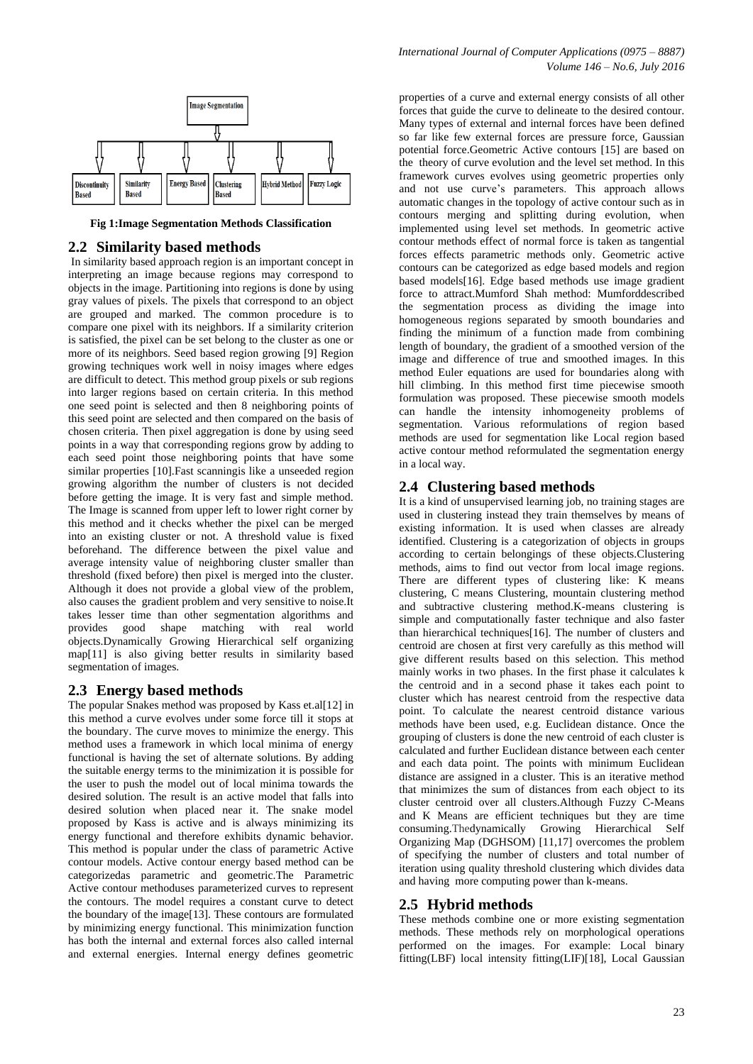

**Fig 1:Image Segmentation Methods Classification**

### **2.2 Similarity based methods**

In similarity based approach region is an important concept in interpreting an image because regions may correspond to objects in the image. Partitioning into regions is done by using gray values of pixels. The pixels that correspond to an object are grouped and marked. The common procedure is to compare one pixel with its neighbors. If a similarity criterion is satisfied, the pixel can be set belong to the cluster as one or more of its neighbors. Seed based region growing [9] Region growing techniques work well in noisy images where edges are difficult to detect. This method group pixels or sub regions into larger regions based on certain criteria. In this method one seed point is selected and then 8 neighboring points of this seed point are selected and then compared on the basis of chosen criteria. Then pixel aggregation is done by using seed points in a way that corresponding regions grow by adding to each seed point those neighboring points that have some similar properties [10].Fast scanningis like a unseeded region growing algorithm the number of clusters is not decided before getting the image. It is very fast and simple method. The Image is scanned from upper left to lower right corner by this method and it checks whether the pixel can be merged into an existing cluster or not. A threshold value is fixed beforehand. The difference between the pixel value and average intensity value of neighboring cluster smaller than threshold (fixed before) then pixel is merged into the cluster. Although it does not provide a global view of the problem, also causes the gradient problem and very sensitive to noise.It takes lesser time than other segmentation algorithms and provides good shape matching with real world objects.Dynamically Growing Hierarchical self organizing map[11] is also giving better results in similarity based segmentation of images.

### **2.3 Energy based methods**

The popular Snakes method was proposed by Kass et.al[12] in this method a curve evolves under some force till it stops at the boundary. The curve moves to minimize the energy. This method uses a framework in which local minima of energy functional is having the set of alternate solutions. By adding the suitable energy terms to the minimization it is possible for the user to push the model out of local minima towards the desired solution. The result is an active model that falls into desired solution when placed near it. The snake model proposed by Kass is active and is always minimizing its energy functional and therefore exhibits dynamic behavior. This method is popular under the class of parametric Active contour models. Active contour energy based method can be categorizedas parametric and geometric.The Parametric Active contour methoduses parameterized curves to represent the contours. The model requires a constant curve to detect the boundary of the image[13]. These contours are formulated by minimizing energy functional. This minimization function has both the internal and external forces also called internal and external energies. Internal energy defines geometric

properties of a curve and external energy consists of all other forces that guide the curve to delineate to the desired contour. Many types of external and internal forces have been defined so far like few external forces are pressure force, Gaussian potential force.Geometric Active contours [15] are based on the theory of curve evolution and the level set method. In this framework curves evolves using geometric properties only and not use curve's parameters. This approach allows automatic changes in the topology of active contour such as in contours merging and splitting during evolution, when implemented using level set methods. In geometric active contour methods effect of normal force is taken as tangential forces effects parametric methods only. Geometric active contours can be categorized as edge based models and region based models[16]. Edge based methods use image gradient force to attract.Mumford Shah method: Mumforddescribed the segmentation process as dividing the image into homogeneous regions separated by smooth boundaries and finding the minimum of a function made from combining length of boundary, the gradient of a smoothed version of the image and difference of true and smoothed images. In this method Euler equations are used for boundaries along with hill climbing. In this method first time piecewise smooth formulation was proposed. These piecewise smooth models can handle the intensity inhomogeneity problems of segmentation. Various reformulations of region based methods are used for segmentation like Local region based active contour method reformulated the segmentation energy in a local way.

## **2.4 Clustering based methods**

It is a kind of unsupervised learning job, no training stages are used in clustering instead they train themselves by means of existing information. It is used when classes are already identified. Clustering is a categorization of objects in groups according to certain belongings of these objects.Clustering methods, aims to find out vector from local image regions. There are different types of clustering like: K means clustering, C means Clustering, mountain clustering method and subtractive clustering method.K-means clustering is simple and computationally faster technique and also faster than hierarchical techniques[16]. The number of clusters and centroid are chosen at first very carefully as this method will give different results based on this selection. This method mainly works in two phases. In the first phase it calculates k the centroid and in a second phase it takes each point to cluster which has nearest centroid from the respective data point. To calculate the nearest centroid distance various methods have been used, e.g. Euclidean distance. Once the grouping of clusters is done the new centroid of each cluster is calculated and further Euclidean distance between each center and each data point. The points with minimum Euclidean distance are assigned in a cluster. This is an iterative method that minimizes the sum of distances from each object to its cluster centroid over all clusters.Although Fuzzy C-Means and K Means are efficient techniques but they are time consuming.Thedynamically Growing Hierarchical Self Organizing Map (DGHSOM) [11,17] overcomes the problem of specifying the number of clusters and total number of iteration using quality threshold clustering which divides data and having more computing power than k-means.

### **2.5 Hybrid methods**

These methods combine one or more existing segmentation methods. These methods rely on morphological operations performed on the images. For example: Local binary fitting(LBF) local intensity fitting(LIF)[18], Local Gaussian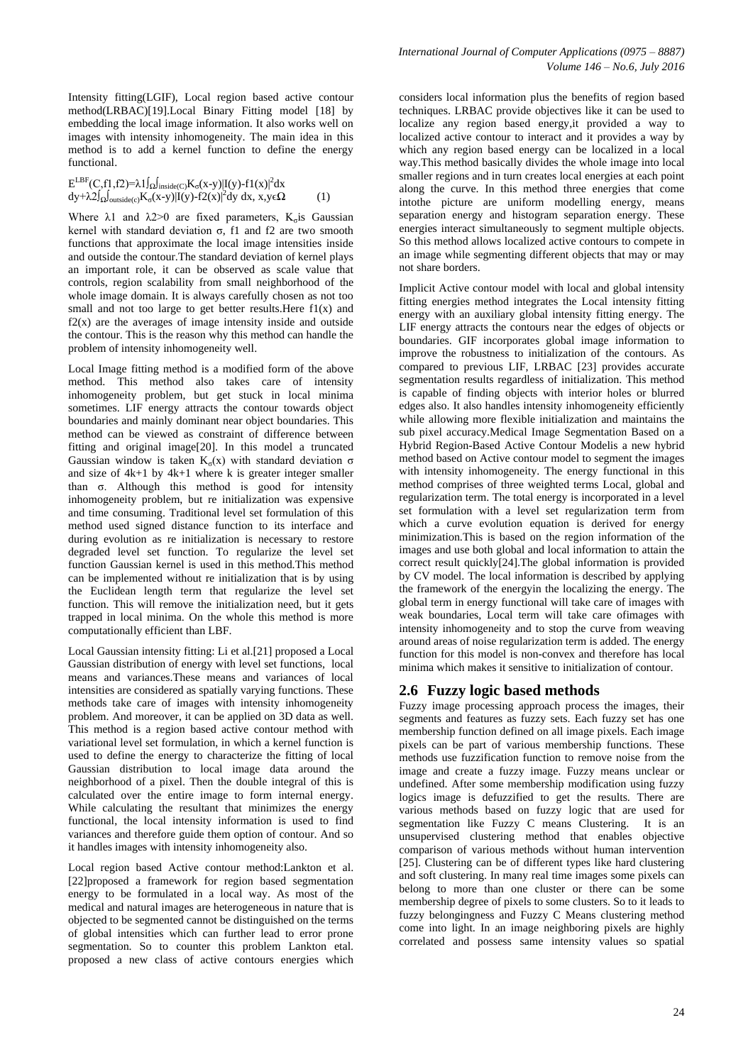Intensity fitting(LGIF), Local region based active contour method(LRBAC)[19].Local Binary Fitting model [18] by embedding the local image information. It also works well on images with intensity inhomogeneity. The main idea in this method is to add a kernel function to define the energy functional.

 $E^{LBF}(C, f1, f2)=\lambda 1 \int_{\Omega} \int_{inside(C)} K_{\sigma}(x-y) |I(y)-f1(x)|^2 dx$  $\frac{dy + \lambda 2 \int_{\Omega} \int_{\text{outside}(c)} K_{\sigma}(x-y) |I(y)-f2(x)|^2 dy dx, x, y \in \Omega$  (1)

Where  $\lambda$ 1 and  $\lambda$ 2>0 are fixed parameters, K<sub>c</sub> is Gaussian kernel with standard deviation  $σ$ , f1 and f2 are two smooth functions that approximate the local image intensities inside and outside the contour.The standard deviation of kernel plays an important role, it can be observed as scale value that controls, region scalability from small neighborhood of the whole image domain. It is always carefully chosen as not too small and not too large to get better results. Here  $f(x)$  and  $f2(x)$  are the averages of image intensity inside and outside the contour. This is the reason why this method can handle the problem of intensity inhomogeneity well.

Local Image fitting method is a modified form of the above method. This method also takes care of intensity inhomogeneity problem, but get stuck in local minima sometimes. LIF energy attracts the contour towards object boundaries and mainly dominant near object boundaries. This method can be viewed as constraint of difference between fitting and original image[20]. In this model a truncated Gaussian window is taken  $K_{\sigma}(x)$  with standard deviation  $\sigma$ and size of 4k+1 by 4k+1 where k is greater integer smaller than σ. Although this method is good for intensity inhomogeneity problem, but re initialization was expensive and time consuming. Traditional level set formulation of this method used signed distance function to its interface and during evolution as re initialization is necessary to restore degraded level set function. To regularize the level set function Gaussian kernel is used in this method.This method can be implemented without re initialization that is by using the Euclidean length term that regularize the level set function. This will remove the initialization need, but it gets trapped in local minima. On the whole this method is more computationally efficient than LBF.

Local Gaussian intensity fitting: Li et al.[21] proposed a Local Gaussian distribution of energy with level set functions, local means and variances.These means and variances of local intensities are considered as spatially varying functions. These methods take care of images with intensity inhomogeneity problem. And moreover, it can be applied on 3D data as well. This method is a region based active contour method with variational level set formulation, in which a kernel function is used to define the energy to characterize the fitting of local Gaussian distribution to local image data around the neighborhood of a pixel. Then the double integral of this is calculated over the entire image to form internal energy. While calculating the resultant that minimizes the energy functional, the local intensity information is used to find variances and therefore guide them option of contour. And so it handles images with intensity inhomogeneity also.

Local region based Active contour method:Lankton et al. [22]proposed a framework for region based segmentation energy to be formulated in a local way. As most of the medical and natural images are heterogeneous in nature that is objected to be segmented cannot be distinguished on the terms of global intensities which can further lead to error prone segmentation. So to counter this problem Lankton etal. proposed a new class of active contours energies which considers local information plus the benefits of region based techniques. LRBAC provide objectives like it can be used to localize any region based energy,it provided a way to localized active contour to interact and it provides a way by which any region based energy can be localized in a local way.This method basically divides the whole image into local smaller regions and in turn creates local energies at each point along the curve. In this method three energies that come intothe picture are uniform modelling energy, means separation energy and histogram separation energy. These energies interact simultaneously to segment multiple objects. So this method allows localized active contours to compete in an image while segmenting different objects that may or may not share borders.

Implicit Active contour model with local and global intensity fitting energies method integrates the Local intensity fitting energy with an auxiliary global intensity fitting energy. The LIF energy attracts the contours near the edges of objects or boundaries. GIF incorporates global image information to improve the robustness to initialization of the contours. As compared to previous LIF, LRBAC [23] provides accurate segmentation results regardless of initialization. This method is capable of finding objects with interior holes or blurred edges also. It also handles intensity inhomogeneity efficiently while allowing more flexible initialization and maintains the sub pixel accuracy.Medical Image Segmentation Based on a Hybrid Region-Based Active Contour Modelis a new hybrid method based on Active contour model to segment the images with intensity inhomogeneity. The energy functional in this method comprises of three weighted terms Local, global and regularization term. The total energy is incorporated in a level set formulation with a level set regularization term from which a curve evolution equation is derived for energy minimization.This is based on the region information of the images and use both global and local information to attain the correct result quickly[24].The global information is provided by CV model. The local information is described by applying the framework of the energyin the localizing the energy. The global term in energy functional will take care of images with weak boundaries, Local term will take care ofimages with intensity inhomogeneity and to stop the curve from weaving around areas of noise regularization term is added. The energy function for this model is non-convex and therefore has local minima which makes it sensitive to initialization of contour.

# **2.6 Fuzzy logic based methods**

Fuzzy image processing approach process the images, their segments and features as fuzzy sets. Each fuzzy set has one membership function defined on all image pixels. Each image pixels can be part of various membership functions. These methods use fuzzification function to remove noise from the image and create a fuzzy image. Fuzzy means unclear or undefined. After some membership modification using fuzzy logics image is defuzzified to get the results. There are various methods based on fuzzy logic that are used for segmentation like Fuzzy C means Clustering. It is an unsupervised clustering method that enables objective comparison of various methods without human intervention [25]. Clustering can be of different types like hard clustering and soft clustering. In many real time images some pixels can belong to more than one cluster or there can be some membership degree of pixels to some clusters. So to it leads to fuzzy belongingness and Fuzzy C Means clustering method come into light. In an image neighboring pixels are highly correlated and possess same intensity values so spatial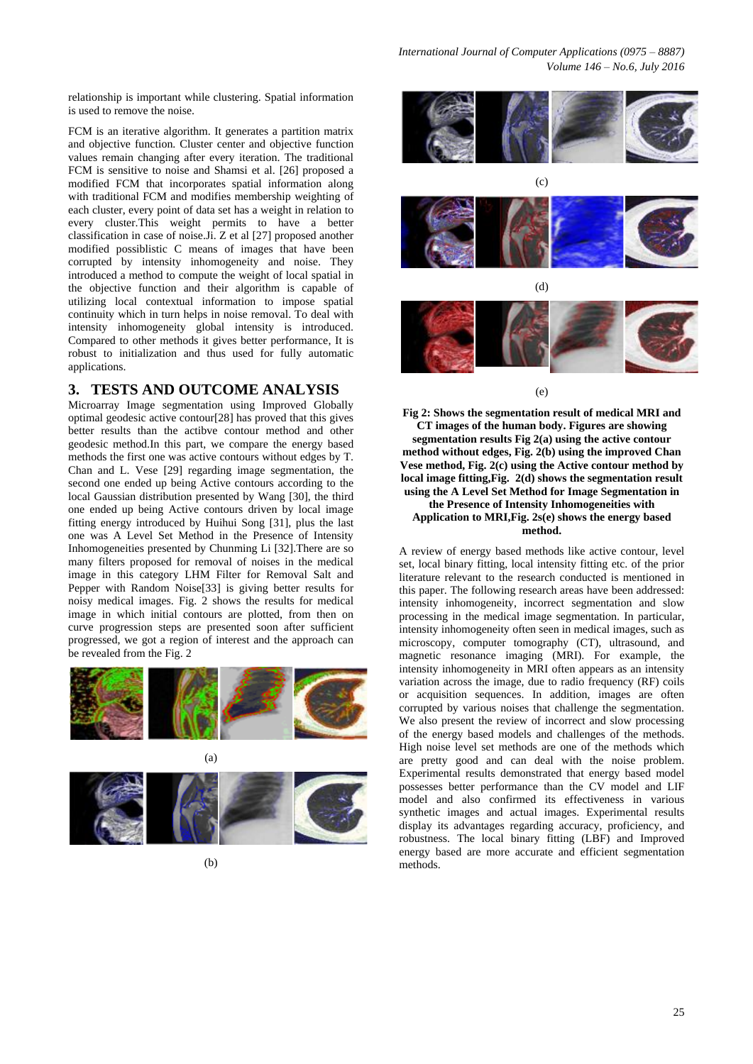relationship is important while clustering. Spatial information is used to remove the noise.

FCM is an iterative algorithm. It generates a partition matrix and objective function. Cluster center and objective function values remain changing after every iteration. The traditional FCM is sensitive to noise and Shamsi et al. [26] proposed a modified FCM that incorporates spatial information along with traditional FCM and modifies membership weighting of each cluster, every point of data set has a weight in relation to every cluster.This weight permits to have a better classification in case of noise.Ji. Z et al [27] proposed another modified possiblistic C means of images that have been corrupted by intensity inhomogeneity and noise. They introduced a method to compute the weight of local spatial in the objective function and their algorithm is capable of utilizing local contextual information to impose spatial continuity which in turn helps in noise removal. To deal with intensity inhomogeneity global intensity is introduced. Compared to other methods it gives better performance, It is robust to initialization and thus used for fully automatic applications.

# **3. TESTS AND OUTCOME ANALYSIS**

Microarray Image segmentation using Improved Globally optimal geodesic active contour[28] has proved that this gives better results than the actibve contour method and other geodesic method.In this part, we compare the energy based methods the first one was active contours without edges by T. Chan and L. Vese [29] regarding image segmentation, the second one ended up being Active contours according to the local Gaussian distribution presented by Wang [30], the third one ended up being Active contours driven by local image fitting energy introduced by Huihui Song [31], plus the last one was A Level Set Method in the Presence of Intensity Inhomogeneities presented by Chunming Li [32].There are so many filters proposed for removal of noises in the medical image in this category LHM Filter for Removal Salt and Pepper with Random Noise[33] is giving better results for noisy medical images. Fig. 2 shows the results for medical image in which initial contours are plotted, from then on curve progression steps are presented soon after sufficient progressed, we got a region of interest and the approach can be revealed from the Fig. 2











(e)

**Fig 2: Shows the segmentation result of medical MRI and CT images of the human body. Figures are showing segmentation results Fig 2(a) using the active contour method without edges, Fig. 2(b) using the improved Chan Vese method, Fig. 2(c) using the Active contour method by local image fitting,Fig. 2(d) shows the segmentation result using the A Level Set Method for Image Segmentation in the Presence of Intensity Inhomogeneities with Application to MRI,Fig. 2s(e) shows the energy based method.**

A review of energy based methods like active contour, level set, local binary fitting, local intensity fitting etc. of the prior literature relevant to the research conducted is mentioned in this paper. The following research areas have been addressed: intensity inhomogeneity, incorrect segmentation and slow processing in the medical image segmentation. In particular, intensity inhomogeneity often seen in medical images, such as microscopy, computer tomography (CT), ultrasound, and magnetic resonance imaging (MRI). For example, the intensity inhomogeneity in MRI often appears as an intensity variation across the image, due to radio frequency (RF) coils or acquisition sequences. In addition, images are often corrupted by various noises that challenge the segmentation. We also present the review of incorrect and slow processing of the energy based models and challenges of the methods. High noise level set methods are one of the methods which are pretty good and can deal with the noise problem. Experimental results demonstrated that energy based model possesses better performance than the CV model and LIF model and also confirmed its effectiveness in various synthetic images and actual images. Experimental results display its advantages regarding accuracy, proficiency, and robustness. The local binary fitting (LBF) and Improved energy based are more accurate and efficient segmentation methods.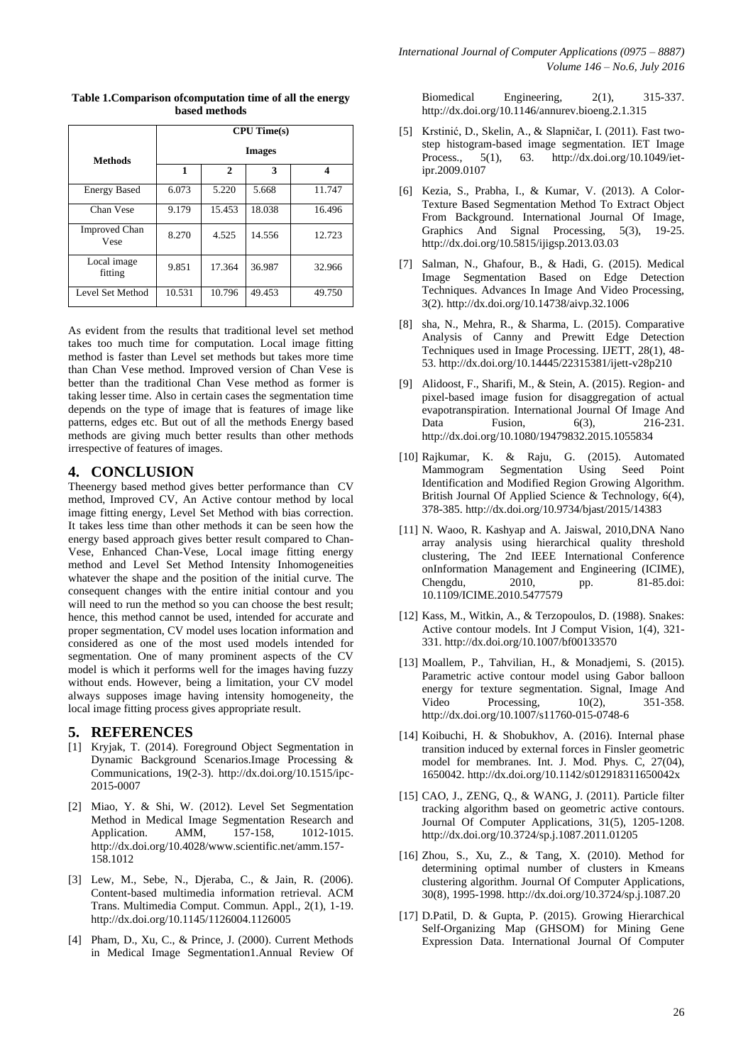|                              | CPU Time(s)   |              |        |        |
|------------------------------|---------------|--------------|--------|--------|
| <b>Methods</b>               | <b>Images</b> |              |        |        |
|                              | 1             | $\mathbf{2}$ | 3      | 4      |
| <b>Energy Based</b>          | 6.073         | 5.220        | 5.668  | 11.747 |
| Chan Vese                    | 9.179         | 15.453       | 18.038 | 16.496 |
| <b>Improved Chan</b><br>Vese | 8.270         | 4.525        | 14.556 | 12.723 |
| Local image<br>fitting       | 9.851         | 17.364       | 36.987 | 32.966 |
| Level Set Method             | 10.531        | 10.796       | 49.453 | 49.750 |

**Table 1.Comparison ofcomputation time of all the energy based methods**

As evident from the results that traditional level set method takes too much time for computation. Local image fitting method is faster than Level set methods but takes more time than Chan Vese method. Improved version of Chan Vese is better than the traditional Chan Vese method as former is taking lesser time. Also in certain cases the segmentation time depends on the type of image that is features of image like patterns, edges etc. But out of all the methods Energy based methods are giving much better results than other methods irrespective of features of images.

### **4. CONCLUSION**

Theenergy based method gives better performance than CV method, Improved CV, An Active contour method by local image fitting energy, Level Set Method with bias correction. It takes less time than other methods it can be seen how the energy based approach gives better result compared to Chan-Vese, Enhanced Chan-Vese, Local image fitting energy method and Level Set Method Intensity Inhomogeneities whatever the shape and the position of the initial curve. The consequent changes with the entire initial contour and you will need to run the method so you can choose the best result; hence, this method cannot be used, intended for accurate and proper segmentation, CV model uses location information and considered as one of the most used models intended for segmentation. One of many prominent aspects of the CV model is which it performs well for the images having fuzzy without ends. However, being a limitation, your CV model always supposes image having intensity homogeneity, the local image fitting process gives appropriate result.

#### **5. REFERENCES**

- [1] Kryjak, T. (2014). Foreground Object Segmentation in Dynamic Background Scenarios.Image Processing & Communications, 19(2-3). http://dx.doi.org/10.1515/ipc-2015-0007
- [2] Miao, Y. & Shi, W. (2012). Level Set Segmentation Method in Medical Image Segmentation Research and Application. AMM, 157-158, 1012-1015. http://dx.doi.org/10.4028/www.scientific.net/amm.157- 158.1012
- [3] Lew, M., Sebe, N., Djeraba, C., & Jain, R. (2006). Content-based multimedia information retrieval. ACM Trans. Multimedia Comput. Commun. Appl., 2(1), 1-19. http://dx.doi.org/10.1145/1126004.1126005
- [4] Pham, D., Xu, C., & Prince, J. (2000). Current Methods in Medical Image Segmentation1.Annual Review Of

Biomedical Engineering, 2(1), 315-337. http://dx.doi.org/10.1146/annurev.bioeng.2.1.315

- [5] Krstinić, D., Skelin, A., & Slapničar, I. (2011). Fast twostep histogram-based image segmentation. IET Image Process., 5(1), 63. http://dx.doi.org/10.1049/ietipr.2009.0107
- [6] Kezia, S., Prabha, I., & Kumar, V. (2013). A Color-Texture Based Segmentation Method To Extract Object From Background. International Journal Of Image, Graphics And Signal Processing, 5(3), 19-25. http://dx.doi.org/10.5815/ijigsp.2013.03.03
- [7] Salman, N., Ghafour, B., & Hadi, G. (2015). Medical Image Segmentation Based on Edge Detection Techniques. Advances In Image And Video Processing, 3(2). http://dx.doi.org/10.14738/aivp.32.1006
- [8] sha, N., Mehra, R., & Sharma, L. (2015). Comparative Analysis of Canny and Prewitt Edge Detection Techniques used in Image Processing. IJETT, 28(1), 48- 53. http://dx.doi.org/10.14445/22315381/ijett-v28p210
- [9] Alidoost, F., Sharifi, M., & Stein, A. (2015). Region- and pixel-based image fusion for disaggregation of actual evapotranspiration. International Journal Of Image And Data Fusion, 6(3), 216-231. http://dx.doi.org/10.1080/19479832.2015.1055834
- [10] Rajkumar, K. & Raju, G. (2015). Automated Mammogram Segmentation Using Seed Point Identification and Modified Region Growing Algorithm. British Journal Of Applied Science & Technology, 6(4), 378-385. http://dx.doi.org/10.9734/bjast/2015/14383
- [11] N. Waoo, R. Kashyap and A. Jaiswal, 2010, DNA Nano array analysis using hierarchical quality threshold clustering, The 2nd IEEE International Conference onInformation Management and Engineering (ICIME), Chengdu, 2010, pp. 81-85.doi: 10.1109/ICIME.2010.5477579
- [12] Kass, M., Witkin, A., & Terzopoulos, D. (1988). Snakes: Active contour models. Int J Comput Vision, 1(4), 321- 331. http://dx.doi.org/10.1007/bf00133570
- [13] Moallem, P., Tahvilian, H., & Monadjemi, S. (2015). Parametric active contour model using Gabor balloon energy for texture segmentation. Signal, Image And Video Processing, 10(2), 351-358. http://dx.doi.org/10.1007/s11760-015-0748-6
- [14] Koibuchi, H. & Shobukhov, A. (2016). Internal phase transition induced by external forces in Finsler geometric model for membranes. Int. J. Mod. Phys. C, 27(04), 1650042. http://dx.doi.org/10.1142/s012918311650042x
- [15] CAO, J., ZENG, Q., & WANG, J. (2011). Particle filter tracking algorithm based on geometric active contours. Journal Of Computer Applications, 31(5), 1205-1208. http://dx.doi.org/10.3724/sp.j.1087.2011.01205
- [16] Zhou, S., Xu, Z., & Tang, X. (2010). Method for determining optimal number of clusters in Kmeans clustering algorithm. Journal Of Computer Applications, 30(8), 1995-1998. http://dx.doi.org/10.3724/sp.j.1087.20
- [17] D.Patil, D. & Gupta, P. (2015). Growing Hierarchical Self-Organizing Map (GHSOM) for Mining Gene Expression Data. International Journal Of Computer